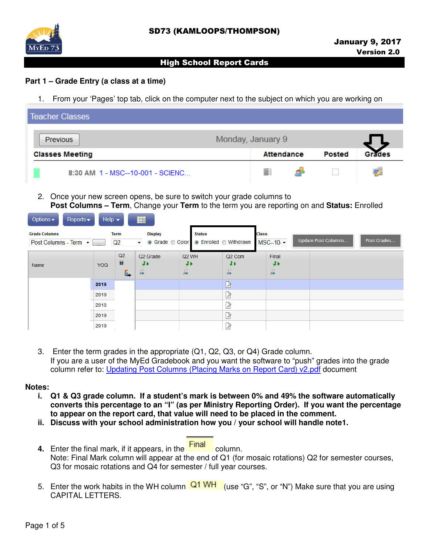



### **Part 1 – Grade Entry (a class at a time)**

the first control of the control of the control of

1. From your 'Pages' top tab, click on the computer next to the subject on which you are working on

| Teacher Classes                  |                   |        |                    |
|----------------------------------|-------------------|--------|--------------------|
| Previous                         | Monday, January 9 |        |                    |
| <b>Classes Meeting</b>           | <b>Attendance</b> | Posted | <sup>--ad</sup> es |
| 8:30 AM 1 - MSC--10-001 - SCIENC | ΞI                |        |                    |

2. Once your new screen opens, be sure to switch your grade columns to **Post Columns – Term**, Change your **Term** to the term you are reporting on and **Status:** Enrolled

| <b>Uptions</b><br>$\mathsf{Rep}$ $\mathsf{US}$ | $r = 1$    |                   | EEE                                                           |                                             |                                               |                                                 |                            |             |
|------------------------------------------------|------------|-------------------|---------------------------------------------------------------|---------------------------------------------|-----------------------------------------------|-------------------------------------------------|----------------------------|-------------|
| <b>Grade Columns</b><br>Post Columns - Term -  |            | <b>Term</b><br>Q2 | <b>Display</b><br>● Grade ● Color<br>$\overline{\phantom{a}}$ |                                             | <b>Status</b><br>● Enrolled ● Withdrawn       | <b>Class</b><br>$MSC-10.$ $\blacktriangleright$ | <b>Update Post Columns</b> | Post Grades |
| Name                                           | <b>YOG</b> | Q2<br>ы<br>u      | Q <sub>2</sub> Grade<br>a,                                    | Q <sub>2</sub> WH<br>J)<br>$\sum_{i=1}^{n}$ | Q <sub>2</sub> Com<br>¥Þ.<br>$\sum_{i=1}^{n}$ | Final<br>41<br>$\sqrt{2}$                       |                            |             |
|                                                | 2019       |                   |                                                               |                                             | B                                             |                                                 |                            |             |
|                                                | 2019       |                   |                                                               |                                             | D                                             |                                                 |                            |             |
|                                                | 2018       |                   |                                                               |                                             | B                                             |                                                 |                            |             |
|                                                | 2019       |                   |                                                               |                                             | D                                             |                                                 |                            |             |
|                                                | 2019       |                   |                                                               |                                             | ♪                                             |                                                 |                            |             |

3. Enter the term grades in the appropriate (Q1, Q2, Q3, or Q4) Grade column. If you are a user of the MyEd Gradebook and you want the software to "push" grades into the grade column refer to: Updating Post Columns (Placing Marks on Report Card) v2.pdf document

#### **Notes:**

- **i. Q1 & Q3 grade column. If a student's mark is between 0% and 49% the software automatically converts this percentage to an "I" (as per Ministry Reporting Order). If you want the percentage to appear on the report card, that value will need to be placed in the comment.**
- **ii. Discuss with your school administration how you / your school will handle note1.**
- **4.** Enter the final mark, if it appears, in the **Final** column. Note: Final Mark column will appear at the end of Q1 (for mosaic rotations) Q2 for semester courses, Q3 for mosaic rotations and Q4 for semester / full year courses.
- 5. Enter the work habits in the WH column  $\frac{Q1}{W}$  (use "G", "S", or "N") Make sure that you are using CAPITAL LETTERS.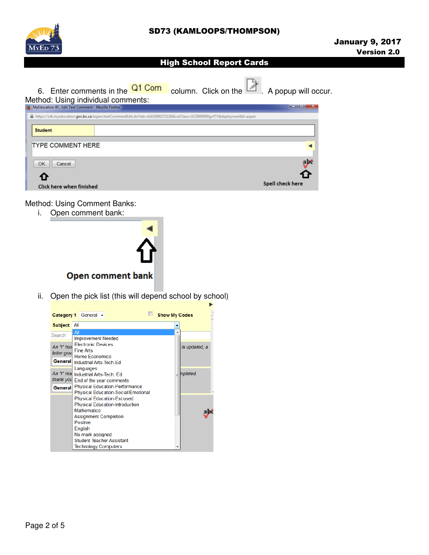

6. Enter comments in the  $\frac{Q1 \text{ Com}}{\text{column}}$  Column. Click on the  $\Box$  A popup will occur.

# Method: Using individual comments:

| MyEducation BC: Edit Text Comment - Mozilla Firefox                                                                      | __<br>$\sim$            |
|--------------------------------------------------------------------------------------------------------------------------|-------------------------|
| https://sdt.myeducation.gov.bc.ca/aspen/textCommentEdit.do?std=stdX2000272118&colClass=GCD000000gvlTY&deploymentId=aspen |                         |
| <b>Student</b>                                                                                                           |                         |
| <b>TYPE COMMENT HERE</b>                                                                                                 |                         |
| OK<br>Cancel                                                                                                             | ąИ                      |
| U                                                                                                                        |                         |
| <b>Click here when finished</b>                                                                                          | <b>Spell check here</b> |

Method: Using Comment Banks:

i. Open comment bank:



ii. Open the pick list (this will depend school by school)

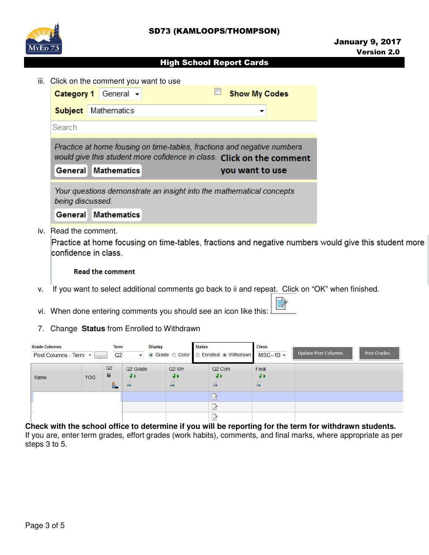



iii. Click on the comment you want to use

| Practice at home fousing on time-tables, fractions and negative numbers<br>would give this student more cofidence in class. Click on the comment |
|--------------------------------------------------------------------------------------------------------------------------------------------------|
|                                                                                                                                                  |
|                                                                                                                                                  |

iv. Read the comment.

Practice at home focusing on time-tables, fractions and negative numbers would give this student more confidence in class.

#### **Read the comment**

- v. If you want to select additional comments go back to ii and repeat. Click on "OK" when finished.
- vi. When done entering comments you should see an icon like this:
- 7. Change **Status** from Enrolled to Withdrawn

| <b>Grade Columns</b><br>Term<br>Post Columns - Term -<br>Q2<br>- |     | <b>Display</b><br>▼ |                            | <b>Status</b><br>● Grade © Color © Enrolled ● Withdrawn MSC--10 - |  | <b>Class</b>             | <b>Update Post Columns</b> | Post Grades |  |
|------------------------------------------------------------------|-----|---------------------|----------------------------|-------------------------------------------------------------------|--|--------------------------|----------------------------|-------------|--|
| Name                                                             | YOG | Q2<br>Ы<br>u.       | Q <sub>2</sub> Grade<br>41 | Q <sub>2</sub> WH<br>41<br>in                                     |  | Q <sub>2</sub> Com<br>JI | Final<br>4)<br>$\sqrt{2}$  |             |  |
|                                                                  |     |                     |                            |                                                                   |  |                          |                            |             |  |
|                                                                  |     |                     |                            |                                                                   |  |                          |                            |             |  |

**Check with the school office to determine if you will be reporting for the term for withdrawn students.** If you are, enter term grades, effort grades (work habits), comments, and final marks, where appropriate as per steps 3 to 5.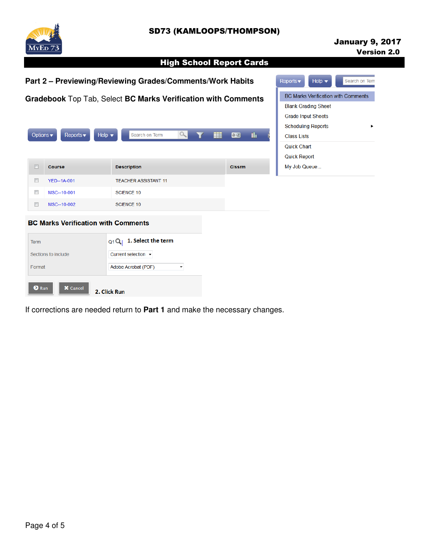# SD73 (KAMLOOPS/THOMPSON)



# January 9, 2017 Version 2.0

# High School Report Cards

|                            |                                           | Part 2 - Previewing/Reviewing Grades/Comments/Work Habits                                                                       |                      | Help $\blacktriangledown$<br>Reports $\blacktriangledown$<br>Search on Tern |               |     |                                                                                                                                                                                |
|----------------------------|-------------------------------------------|---------------------------------------------------------------------------------------------------------------------------------|----------------------|-----------------------------------------------------------------------------|---------------|-----|--------------------------------------------------------------------------------------------------------------------------------------------------------------------------------|
| Options v                  | Reports $\blacktriangledown$              | Gradebook Top Tab, Select BC Marks Verification with Comments<br>Help $\blacktriangledown$<br>Search on Term                    | $\alpha$             | ₩                                                                           | $a + z$       | Th. | <b>BC Marks Verification with Comments</b><br><b>Blank Grading Sheet</b><br><b>Grade Input Sheets</b><br><b>Scheduling Reports</b><br><b>Class Lists</b><br><b>Quick Chart</b> |
| $\Box$                     | Course                                    | <b>Description</b>                                                                                                              |                      |                                                                             | <b>CIssrm</b> |     | <b>Quick Report</b><br>My Job Queue                                                                                                                                            |
| $\Box$<br>$\Box$<br>$\Box$ | YED--1A-001<br>MSC--10-001<br>MSC--10-002 | <b>TEACHER ASSISTANT 11</b><br><b>SCIENCE 10</b><br><b>SCIENCE 10</b>                                                           |                      |                                                                             |               |     |                                                                                                                                                                                |
| <b>Term</b><br>Format      | Sections to include                       | <b>BC Marks Verification with Comments</b><br>1. Select the term<br>$Q1Q_1$<br>Current selection $\star$<br>Adobe Acrobat (PDF) | $\blacktriangledown$ |                                                                             |               |     |                                                                                                                                                                                |
| <b>O</b> Run               | <b>X</b> Cancel                           | 2. Click Run                                                                                                                    |                      |                                                                             |               |     |                                                                                                                                                                                |

If corrections are needed return to **Part 1** and make the necessary changes.